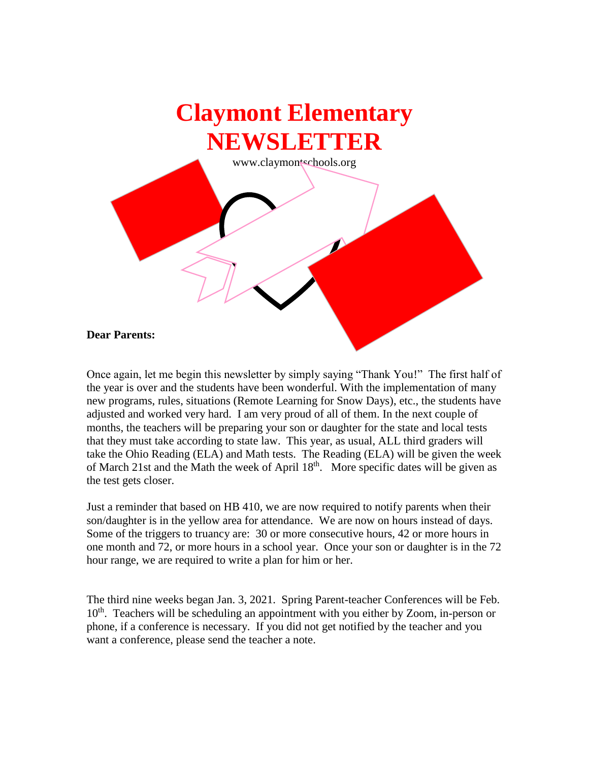

Once again, let me begin this newsletter by simply saying "Thank You!" The first half of the year is over and the students have been wonderful. With the implementation of many new programs, rules, situations (Remote Learning for Snow Days), etc., the students have adjusted and worked very hard. I am very proud of all of them. In the next couple of months, the teachers will be preparing your son or daughter for the state and local tests that they must take according to state law. This year, as usual, ALL third graders will take the Ohio Reading (ELA) and Math tests. The Reading (ELA) will be given the week of March 21st and the Math the week of April 18<sup>th</sup>. More specific dates will be given as the test gets closer.

Just a reminder that based on HB 410, we are now required to notify parents when their son/daughter is in the yellow area for attendance. We are now on hours instead of days. Some of the triggers to truancy are: 30 or more consecutive hours, 42 or more hours in one month and 72, or more hours in a school year. Once your son or daughter is in the 72 hour range, we are required to write a plan for him or her.

The third nine weeks began Jan. 3, 2021. Spring Parent-teacher Conferences will be Feb. 10<sup>th</sup>. Teachers will be scheduling an appointment with you either by Zoom, in-person or phone, if a conference is necessary. If you did not get notified by the teacher and you want a conference, please send the teacher a note.